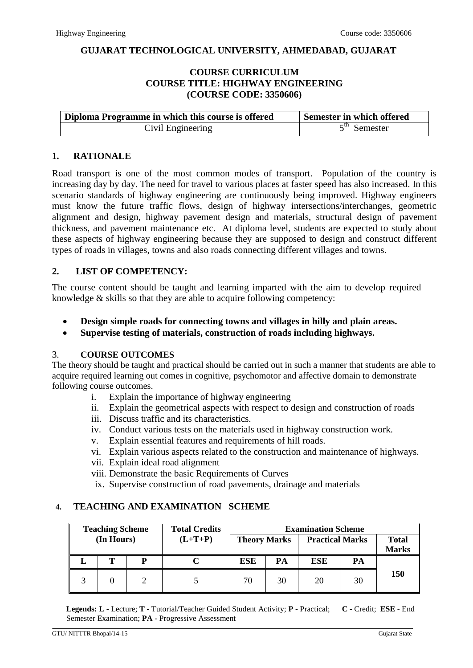### **GUJARAT TECHNOLOGICAL UNIVERSITY, AHMEDABAD, GUJARAT**

## **COURSE CURRICULUM COURSE TITLE: HIGHWAY ENGINEERING (COURSE CODE: 3350606)**

| Diploma Programme in which this course is offered | Semester in which offered |
|---------------------------------------------------|---------------------------|
| Civil Engineering                                 | $5th$ Semester            |

#### **1. RATIONALE**

Road transport is one of the most common modes of transport. Population of the country is increasing day by day. The need for travel to various places at faster speed has also increased. In this scenario standards of highway engineering are continuously being improved. Highway engineers must know the future traffic flows, design of highway intersections/interchanges, geometric alignment and design, highway pavement design and materials, structural design of pavement thickness, and pavement maintenance etc. At diploma level, students are expected to study about these aspects of highway engineering because they are supposed to design and construct different types of roads in villages, towns and also roads connecting different villages and towns.

#### **2. LIST OF COMPETENCY:**

The course content should be taught and learning imparted with the aim to develop required knowledge & skills so that they are able to acquire following competency:

- **Design simple roads for connecting towns and villages in hilly and plain areas.**
- **Supervise testing of materials, construction of roads including highways.**

#### 3. **COURSE OUTCOMES**

The theory should be taught and practical should be carried out in such a manner that students are able to acquire required learning out comes in cognitive, psychomotor and affective domain to demonstrate following course outcomes.

- i. Explain the importance of highway engineering
- ii. Explain the geometrical aspects with respect to design and construction of roads
- iii. Discuss traffic and its characteristics.
- iv. Conduct various tests on the materials used in highway construction work.
- v. Explain essential features and requirements of hill roads.
- vi. Explain various aspects related to the construction and maintenance of highways.
- vii. Explain ideal road alignment
- viii. Demonstrate the basic Requirements of Curves
- ix. Supervise construction of road pavements, drainage and materials

#### **4. TEACHING AND EXAMINATION SCHEME**

| <b>Teaching Scheme</b><br><b>Total Credits</b> |            | <b>Examination Scheme</b> |           |                     |    |                        |    |                              |
|------------------------------------------------|------------|---------------------------|-----------|---------------------|----|------------------------|----|------------------------------|
|                                                | (In Hours) |                           | $(L+T+P)$ | <b>Theory Marks</b> |    | <b>Practical Marks</b> |    | <b>Total</b><br><b>Marks</b> |
|                                                |            | D                         |           | ESE                 | PA | <b>ESE</b>             | PА |                              |
|                                                |            |                           |           | 70                  | 30 | 20                     | 30 | 150                          |

**Legends: L -** Lecture; **T -** Tutorial/Teacher Guided Student Activity; **P -** Practical; **C -** Credit; **ESE** - End Semester Examination; **PA** - Progressive Assessment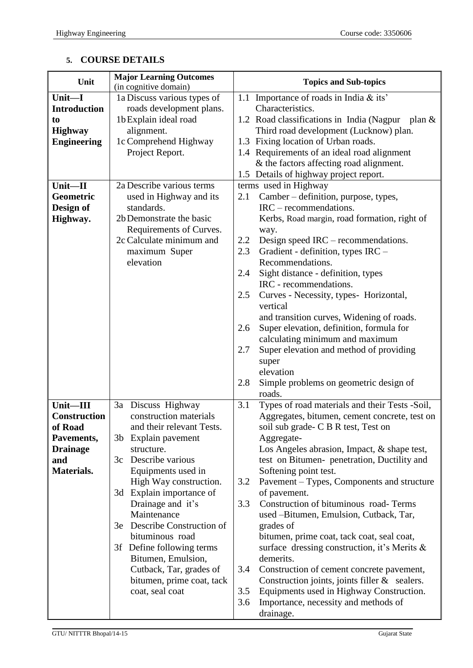# **5. COURSE DETAILS**

| Unit                | <b>Major Learning Outcomes</b> | <b>Topics and Sub-topics</b>                                        |  |  |
|---------------------|--------------------------------|---------------------------------------------------------------------|--|--|
| Unit-I              | (in cognitive domain)          |                                                                     |  |  |
|                     | 1a Discuss various types of    | 1.1 Importance of roads in India $&$ its'                           |  |  |
| <b>Introduction</b> | roads development plans.       | Characteristics.                                                    |  |  |
| to                  | 1b Explain ideal road          | 1.2 Road classifications in India (Nagpur<br>plan $\&$              |  |  |
| <b>Highway</b>      | alignment.                     | Third road development (Lucknow) plan.                              |  |  |
| <b>Engineering</b>  | 1c Comprehend Highway          | 1.3 Fixing location of Urban roads.                                 |  |  |
|                     | Project Report.                | 1.4 Requirements of an ideal road alignment                         |  |  |
|                     |                                | & the factors affecting road alignment.                             |  |  |
|                     |                                | 1.5 Details of highway project report.                              |  |  |
| Unit-II             | 2a Describe various terms      | terms used in Highway                                               |  |  |
| Geometric           | used in Highway and its        | Camber – definition, purpose, types,<br>2.1                         |  |  |
| Design of           | standards.                     | $IRC$ – recommendations.                                            |  |  |
| Highway.            | 2b Demonstrate the basic       | Kerbs, Road margin, road formation, right of                        |  |  |
|                     | Requirements of Curves.        | way.                                                                |  |  |
|                     | 2c Calculate minimum and       | Design speed IRC – recommendations.<br>2.2                          |  |  |
|                     | maximum Super<br>elevation     | Gradient - definition, types IRC -<br>2.3<br>Recommendations.       |  |  |
|                     |                                |                                                                     |  |  |
|                     |                                | Sight distance - definition, types<br>2.4<br>IRC - recommendations. |  |  |
|                     |                                |                                                                     |  |  |
|                     |                                | 2.5<br>Curves - Necessity, types- Horizontal,                       |  |  |
|                     |                                | vertical                                                            |  |  |
|                     |                                | and transition curves, Widening of roads.                           |  |  |
|                     |                                | Super elevation, definition, formula for<br>2.6                     |  |  |
|                     |                                | calculating minimum and maximum<br>2.7                              |  |  |
|                     |                                | Super elevation and method of providing                             |  |  |
|                     |                                | super<br>elevation                                                  |  |  |
|                     |                                | 2.8<br>Simple problems on geometric design of                       |  |  |
|                     |                                | roads.                                                              |  |  |
| Unit–III            | 3a Discuss Highway             | Types of road materials and their Tests -Soil,<br>3.1               |  |  |
| <b>Construction</b> | construction materials         | Aggregates, bitumen, cement concrete, test on                       |  |  |
| of Road             | and their relevant Tests.      | soil sub grade- C B R test, Test on                                 |  |  |
| Pavements,          | 3b Explain pavement            | Aggregate-                                                          |  |  |
| <b>Drainage</b>     | structure.                     | Los Angeles abrasion, Impact, & shape test,                         |  |  |
| and                 | Describe various<br>3c         | test on Bitumen- penetration, Ductility and                         |  |  |
| Materials.          | Equipments used in             | Softening point test.                                               |  |  |
|                     | High Way construction.         | Pavement – Types, Components and structure<br>3.2                   |  |  |
|                     | 3d Explain importance of       | of pavement.                                                        |  |  |
|                     | Drainage and it's              | Construction of bituminous road-Terms<br>3.3                        |  |  |
|                     | Maintenance                    | used -Bitumen, Emulsion, Cutback, Tar,                              |  |  |
|                     | Describe Construction of<br>3e | grades of                                                           |  |  |
|                     | bituminous road                | bitumen, prime coat, tack coat, seal coat,                          |  |  |
|                     | 3f Define following terms      | surface dressing construction, it's Merits $\&$                     |  |  |
|                     | Bitumen, Emulsion,             | demerits.                                                           |  |  |
|                     | Cutback, Tar, grades of        | Construction of cement concrete pavement,<br>3.4                    |  |  |
|                     | bitumen, prime coat, tack      | Construction joints, joints filler $&$ sealers.                     |  |  |
|                     | coat, seal coat                | Equipments used in Highway Construction.<br>3.5                     |  |  |
|                     |                                | Importance, necessity and methods of<br>3.6                         |  |  |
|                     |                                | drainage.                                                           |  |  |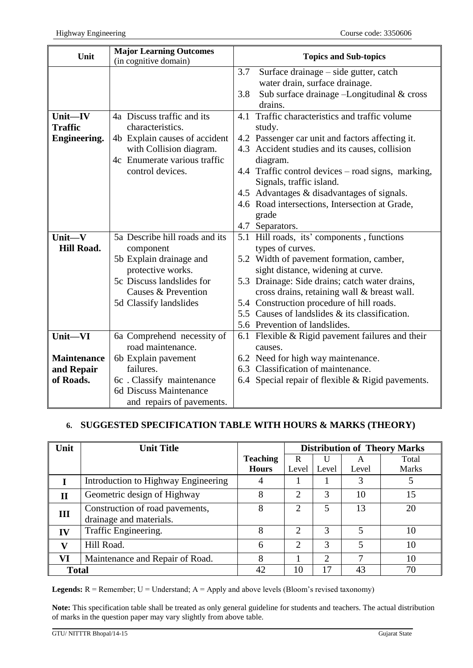| Unit               | <b>Major Learning Outcomes</b> | <b>Topics and Sub-topics</b> |                                                    |  |
|--------------------|--------------------------------|------------------------------|----------------------------------------------------|--|
|                    | (in cognitive domain)          |                              |                                                    |  |
|                    |                                | 3.7                          | Surface drainage – side gutter, catch              |  |
|                    |                                |                              | water drain, surface drainage.                     |  |
|                    |                                | 3.8                          | Sub surface drainage -Longitudinal & cross         |  |
|                    |                                |                              | drains.                                            |  |
| $Unit$ —IV         | 4a Discuss traffic and its     |                              | 4.1 Traffic characteristics and traffic volume     |  |
| <b>Traffic</b>     | characteristics.               |                              | study.                                             |  |
| Engineering.       | 4b Explain causes of accident  |                              | 4.2 Passenger car unit and factors affecting it.   |  |
|                    | with Collision diagram.        |                              | 4.3 Accident studies and its causes, collision     |  |
|                    | 4c Enumerate various traffic   |                              | diagram.                                           |  |
|                    | control devices.               |                              | 4.4 Traffic control devices – road signs, marking, |  |
|                    |                                |                              | Signals, traffic island.                           |  |
|                    |                                |                              | 4.5 Advantages & disadvantages of signals.         |  |
|                    |                                |                              | 4.6 Road intersections, Intersection at Grade,     |  |
|                    |                                |                              | grade                                              |  |
|                    |                                |                              | 4.7 Separators.                                    |  |
| Unit $-V$          | 5a Describe hill roads and its |                              | 5.1 Hill roads, its' components, functions         |  |
| <b>Hill Road.</b>  | component                      |                              | types of curves.                                   |  |
|                    | 5b Explain drainage and        |                              | 5.2 Width of pavement formation, camber,           |  |
|                    | protective works.              |                              | sight distance, widening at curve.                 |  |
|                    | 5c Discuss landslides for      |                              | 5.3 Drainage: Side drains; catch water drains,     |  |
|                    | Causes & Prevention            |                              | cross drains, retaining wall & breast wall.        |  |
|                    | 5d Classify landslides         |                              | 5.4 Construction procedure of hill roads.          |  |
|                    |                                |                              | 5.5 Causes of landslides & its classification.     |  |
|                    |                                |                              | 5.6 Prevention of landslides.                      |  |
| Unit-VI            | 6a Comprehend necessity of     |                              | 6.1 Flexible & Rigid pavement failures and their   |  |
|                    | road maintenance.              |                              | causes.                                            |  |
| <b>Maintenance</b> | 6b Explain pavement            |                              | 6.2 Need for high way maintenance.                 |  |
| and Repair         | failures.                      |                              | 6.3 Classification of maintenance.                 |  |
| of Roads.          | 6c. Classify maintenance       |                              | 6.4 Special repair of flexible & Rigid pavements.  |  |
|                    | 6d Discuss Maintenance         |                              |                                                    |  |
|                    |                                |                              |                                                    |  |
|                    | and repairs of pavements.      |                              |                                                    |  |

# **6. SUGGESTED SPECIFICATION TABLE WITH HOURS & MARKS (THEORY)**

| Unit         | <b>Unit Title</b>                                          |                 | <b>Distribution of Theory Marks</b> |               |       |              |
|--------------|------------------------------------------------------------|-----------------|-------------------------------------|---------------|-------|--------------|
|              |                                                            | <b>Teaching</b> | R                                   | U             |       | Total        |
|              |                                                            | <b>Hours</b>    | Level                               | Level         | Level | <b>Marks</b> |
|              | Introduction to Highway Engineering                        | 4               |                                     |               |       |              |
| $\mathbf{I}$ | Geometric design of Highway                                | 8               | $\mathcal{D}_{\mathcal{L}}$         | 3             | 10    | 15           |
| III          | Construction of road pavements,<br>drainage and materials. | 8               | $\overline{2}$                      | 5             | 13    | 20           |
| IV           | Traffic Engineering.                                       | 8               | $\mathcal{D}_{\mathcal{L}}$         | $\mathcal{R}$ | 5     | 10           |
| $\mathbf{V}$ | Hill Road.                                                 | 6               | $\overline{2}$                      | 3             | 5     | 10           |
| VI           | Maintenance and Repair of Road.                            | 8               |                                     | ◠             | ⇁     | 10           |
| <b>Total</b> |                                                            | 42              | 70<br>10<br>$\overline{17}$<br>43   |               |       |              |

**Legends:**  $R =$  Remember;  $U =$  Understand;  $A =$  Apply and above levels (Bloom's revised taxonomy)

**Note:** This specification table shall be treated as only general guideline for students and teachers. The actual distribution of marks in the question paper may vary slightly from above table.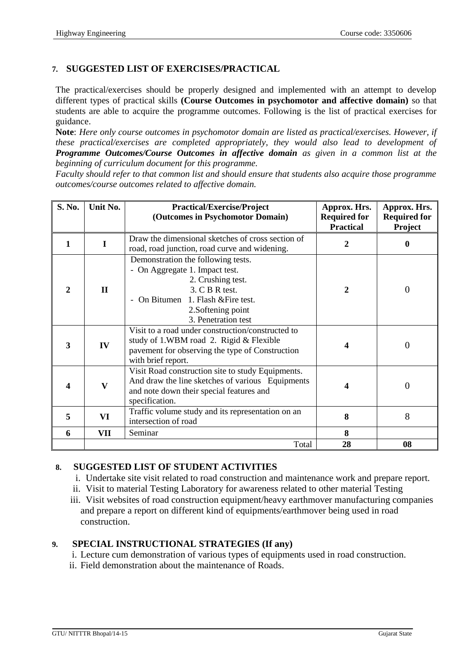## **7. SUGGESTED LIST OF EXERCISES/PRACTICAL**

The practical/exercises should be properly designed and implemented with an attempt to develop different types of practical skills **(Course Outcomes in psychomotor and affective domain)** so that students are able to acquire the programme outcomes. Following is the list of practical exercises for guidance.

**Note**: *Here only course outcomes in psychomotor domain are listed as practical/exercises. However, if these practical/exercises are completed appropriately, they would also lead to development of Programme Outcomes/Course Outcomes in affective domain as given in a common list at the beginning of curriculum document for this programme.* 

*Faculty should refer to that common list and should ensure that students also acquire those programme outcomes/course outcomes related to affective domain.*

| S. No.       | Unit No.     | <b>Practical/Exercise/Project</b><br>(Outcomes in Psychomotor Domain)                                                                                                                                          | Approx. Hrs.<br><b>Required for</b><br><b>Practical</b> | Approx. Hrs.<br><b>Required for</b><br><b>Project</b> |
|--------------|--------------|----------------------------------------------------------------------------------------------------------------------------------------------------------------------------------------------------------------|---------------------------------------------------------|-------------------------------------------------------|
| 1            | L            | Draw the dimensional sketches of cross section of<br>road, road junction, road curve and widening.                                                                                                             | 2                                                       | 0                                                     |
| $\mathbf{2}$ | $\mathbf{H}$ | Demonstration the following tests.<br>- On Aggregate 1. Impact test.<br>2. Crushing test.<br>3. C B R test.<br>On Bitumen 1. Flash & Fire test.<br>$\blacksquare$<br>2. Softening point<br>3. Penetration test | $\mathbf{2}$                                            | $\overline{0}$                                        |
| 3            | IV           | Visit to a road under construction/constructed to<br>study of 1.WBM road 2. Rigid & Flexible<br>pavement for observing the type of Construction<br>with brief report.                                          | 4                                                       | $\theta$                                              |
| 4            | $\mathbf{V}$ | Visit Road construction site to study Equipments.<br>And draw the line sketches of various Equipments<br>and note down their special features and<br>specification.                                            | 4                                                       | $\overline{0}$                                        |
| 5            | VI           | Traffic volume study and its representation on an<br>intersection of road                                                                                                                                      | 8                                                       | 8                                                     |
| 6            | VII          | Seminar                                                                                                                                                                                                        | 8                                                       |                                                       |
|              |              | Total                                                                                                                                                                                                          | 28                                                      | 08                                                    |

### **8. SUGGESTED LIST OF STUDENT ACTIVITIES**

- i. Undertake site visit related to road construction and maintenance work and prepare report.
- ii. Visit to material Testing Laboratory for awareness related to other material Testing
- iii. Visit websites of road construction equipment/heavy earthmover manufacturing companies and prepare a report on different kind of equipments/earthmover being used in road construction.

## **9. SPECIAL INSTRUCTIONAL STRATEGIES (If any)**

- i. Lecture cum demonstration of various types of equipments used in road construction.
- ii. Field demonstration about the maintenance of Roads.